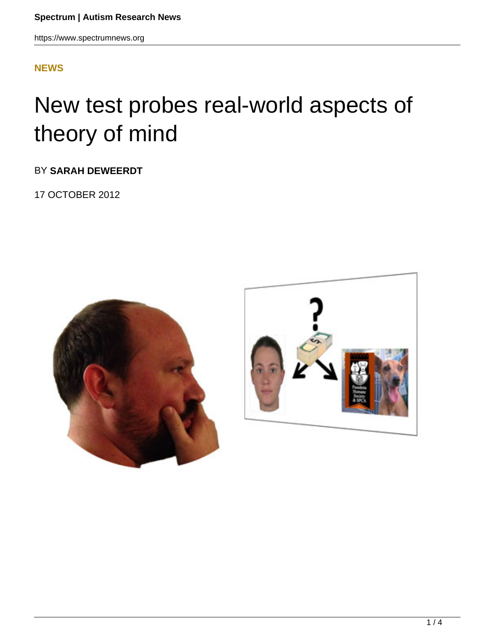## **[NEWS](HTTPS://WWW.SPECTRUMNEWS.ORG/NEWS/)**

## New test probes real-world aspects of theory of mind

BY **SARAH DEWEERDT**

17 OCTOBER 2012



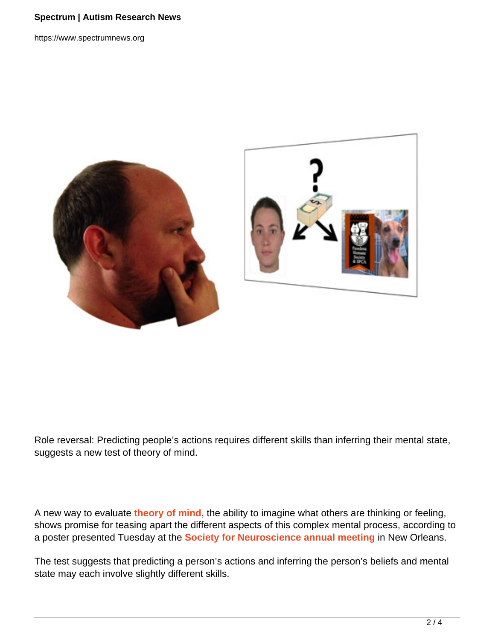https://www.spectrumnews.org



Role reversal: Predicting people's actions requires different skills than inferring their mental state, suggests a new test of theory of mind.

A new way to evaluate **theory of mind**, the ability to imagine what others are thinking or feeling, shows promise for teasing apart the different aspects of this complex mental process, according to a poster presented Tuesday at the **Society for Neuroscience annual meeting** in New Orleans.

The test suggests that predicting a person's actions and inferring the person's beliefs and mental state may each involve slightly different skills.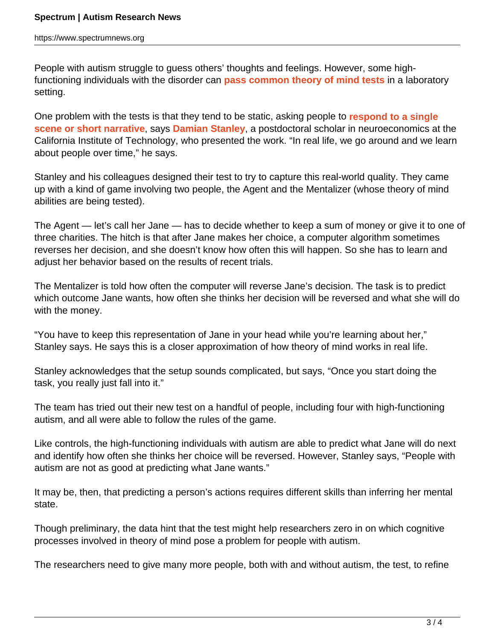https://www.spectrumnews.org

People with autism struggle to guess others' thoughts and feelings. However, some highfunctioning individuals with the disorder can **pass common theory of mind tests** in a laboratory setting.

One problem with the tests is that they tend to be static, asking people to **respond to a single scene or short narrative**, says **Damian Stanley**, a postdoctoral scholar in neuroeconomics at the California Institute of Technology, who presented the work. "In real life, we go around and we learn about people over time," he says.

Stanley and his colleagues designed their test to try to capture this real-world quality. They came up with a kind of game involving two people, the Agent and the Mentalizer (whose theory of mind abilities are being tested).

The Agent — let's call her Jane — has to decide whether to keep a sum of money or give it to one of three charities. The hitch is that after Jane makes her choice, a computer algorithm sometimes reverses her decision, and she doesn't know how often this will happen. So she has to learn and adjust her behavior based on the results of recent trials.

The Mentalizer is told how often the computer will reverse Jane's decision. The task is to predict which outcome Jane wants, how often she thinks her decision will be reversed and what she will do with the money.

"You have to keep this representation of Jane in your head while you're learning about her," Stanley says. He says this is a closer approximation of how theory of mind works in real life.

Stanley acknowledges that the setup sounds complicated, but says, "Once you start doing the task, you really just fall into it."

The team has tried out their new test on a handful of people, including four with high-functioning autism, and all were able to follow the rules of the game.

Like controls, the high-functioning individuals with autism are able to predict what Jane will do next and identify how often she thinks her choice will be reversed. However, Stanley says, "People with autism are not as good at predicting what Jane wants."

It may be, then, that predicting a person's actions requires different skills than inferring her mental state.

Though preliminary, the data hint that the test might help researchers zero in on which cognitive processes involved in theory of mind pose a problem for people with autism.

The researchers need to give many more people, both with and without autism, the test, to refine